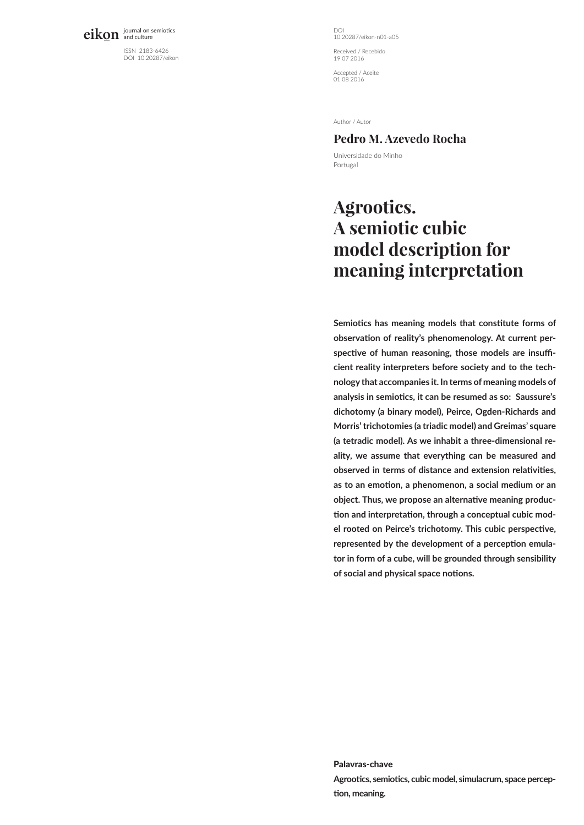eikon journal on semiotics

ISSN 2183-6426 DOI 10.20287/eikon DOI 10.20287/eikon-n01-a05 Received / Recebido 19 07 2016

Accepted / Aceite 01 08 2016

Author / Autor

## **Pedro M. Azevedo Rocha**

Universidade do Minho Portugal

# **Agrootics. A semiotic cubic model description for meaning interpretation**

**Semiotics has meaning models that constitute forms of observation of reality's phenomenology. At current perspective of human reasoning, those models are insufficient reality interpreters before society and to the technology that accompanies it. In terms of meaning models of analysis in semiotics, it can be resumed as so: Saussure's dichotomy (a binary model), Peirce, Ogden-Richards and Morris' trichotomies (a triadic model) and Greimas' square (a tetradic model). As we inhabit a three-dimensional reality, we assume that everything can be measured and observed in terms of distance and extension relativities, as to an emotion, a phenomenon, a social medium or an object. Thus, we propose an alternative meaning production and interpretation, through a conceptual cubic model rooted on Peirce's trichotomy. This cubic perspective, represented by the development of a perception emulator in form of a cube, will be grounded through sensibility of social and physical space notions.**

Palavras-chave **Agrootics, semiotics, cubic model, simulacrum, space perception, meaning.**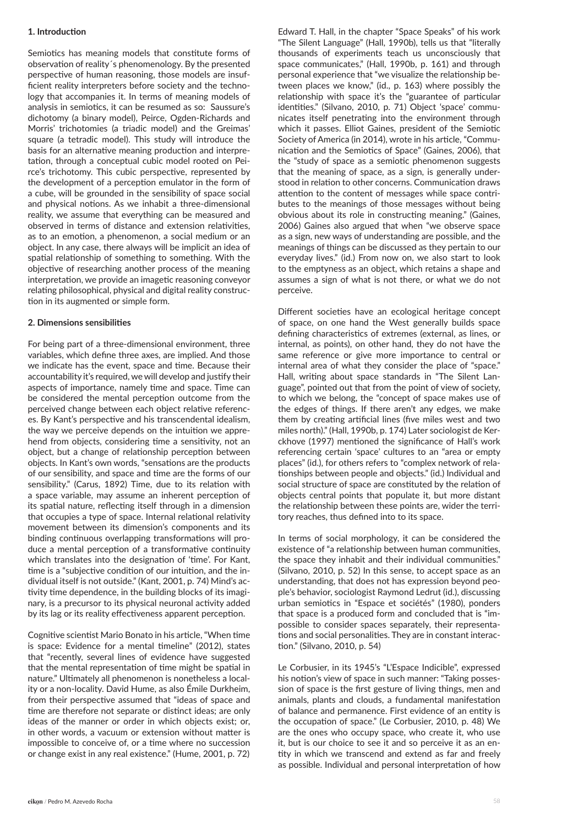#### **1. Introduction**

Semiotics has meaning models that constitute forms of observation of reality´s phenomenology. By the presented perspective of human reasoning, those models are insufficient reality interpreters before society and the technology that accompanies it. In terms of meaning models of analysis in semiotics, it can be resumed as so: Saussure's dichotomy (a binary model), Peirce, Ogden-Richards and Morris' trichotomies (a triadic model) and the Greimas' square (a tetradic model). This study will introduce the basis for an alternative meaning production and interpretation, through a conceptual cubic model rooted on Peirce's trichotomy. This cubic perspective, represented by the development of a perception emulator in the form of a cube, will be grounded in the sensibility of space social and physical notions. As we inhabit a three-dimensional reality, we assume that everything can be measured and observed in terms of distance and extension relativities, as to an emotion, a phenomenon, a social medium or an object. In any case, there always will be implicit an idea of spatial relationship of something to something. With the objective of researching another process of the meaning interpretation, we provide an imagetic reasoning conveyor relating philosophical, physical and digital reality construction in its augmented or simple form.

#### **2. Dimensions sensibilities**

For being part of a three-dimensional environment, three variables, which define three axes, are implied. And those we indicate has the event, space and time. Because their accountability it's required, we will develop and justify their aspects of importance, namely time and space. Time can be considered the mental perception outcome from the perceived change between each object relative references. By Kant's perspective and his transcendental idealism, the way we perceive depends on the intuition we apprehend from objects, considering time a sensitivity, not an object, but a change of relationship perception between objects. In Kant's own words, "sensations are the products of our sensibility, and space and time are the forms of our sensibility." (Carus, 1892) Time, due to its relation with a space variable, may assume an inherent perception of its spatial nature, reflecting itself through in a dimension that occupies a type of space. Internal relational relativity movement between its dimension's components and its binding continuous overlapping transformations will produce a mental perception of a transformative continuity which translates into the designation of 'time'. For Kant, time is a "subjective condition of our intuition, and the individual itself is not outside." (Kant, 2001, p. 74) Mind's activity time dependence, in the building blocks of its imaginary, is a precursor to its physical neuronal activity added by its lag or its reality effectiveness apparent perception.

Cognitive scientist Mario Bonato in his article, "When time is space: Evidence for a mental timeline" (2012), states that "recently, several lines of evidence have suggested that the mental representation of time might be spatial in nature." Ultimately all phenomenon is nonetheless a locality or a non-locality. David Hume, as also Émile Durkheim, from their perspective assumed that "ideas of space and time are therefore not separate or distinct ideas; are only ideas of the manner or order in which objects exist; or, in other words, a vacuum or extension without matter is impossible to conceive of, or a time where no succession or change exist in any real existence." (Hume, 2001, p. 72)

Edward T. Hall, in the chapter "Space Speaks" of his work "The Silent Language" (Hall, 1990b), tells us that "literally thousands of experiments teach us unconsciously that space communicates," (Hall, 1990b, p. 161) and through personal experience that "we visualize the relationship between places we know," (id., p. 163) where possibly the relationship with space it's the "guarantee of particular identities." (Silvano, 2010, p. 71) Object 'space' communicates itself penetrating into the environment through which it passes. Elliot Gaines, president of the Semiotic Society of America (in 2014), wrote in his article, "Communication and the Semiotics of Space" (Gaines, 2006), that the "study of space as a semiotic phenomenon suggests that the meaning of space, as a sign, is generally understood in relation to other concerns. Communication draws attention to the content of messages while space contributes to the meanings of those messages without being obvious about its role in constructing meaning." (Gaines, 2006) Gaines also argued that when "we observe space as a sign, new ways of understanding are possible, and the meanings of things can be discussed as they pertain to our everyday lives." (id.) From now on, we also start to look to the emptyness as an object, which retains a shape and assumes a sign of what is not there, or what we do not perceive.

Different societies have an ecological heritage concept of space, on one hand the West generally builds space defining characteristics of extremes (external, as lines, or internal, as points), on other hand, they do not have the same reference or give more importance to central or internal area of what they consider the place of "space." Hall, writing about space standards in "The Silent Language", pointed out that from the point of view of society, to which we belong, the "concept of space makes use of the edges of things. If there aren't any edges, we make them by creating artificial lines (five miles west and two miles north)." (Hall, 1990b, p. 174) Later sociologist de Kerckhove (1997) mentioned the significance of Hall's work referencing certain 'space' cultures to an "area or empty places" (id.), for others refers to "complex network of relationships between people and objects." (id.) Individual and social structure of space are constituted by the relation of objects central points that populate it, but more distant the relationship between these points are, wider the territory reaches, thus defined into to its space.

In terms of social morphology, it can be considered the existence of "a relationship between human communities, the space they inhabit and their individual communities.' (Silvano, 2010, p. 52) In this sense, to accept space as an understanding, that does not has expression beyond people's behavior, sociologist Raymond Ledrut (id.), discussing urban semiotics in "Espace et sociétés" (1980), ponders that space is a produced form and concluded that is "impossible to consider spaces separately, their representations and social personalities. They are in constant interaction." (Silvano, 2010, p. 54)

Le Corbusier, in its 1945's "L'Espace Indicible", expressed his notion's view of space in such manner: "Taking possession of space is the first gesture of living things, men and animals, plants and clouds, a fundamental manifestation of balance and permanence. First evidence of an entity is the occupation of space." (Le Corbusier, 2010, p. 48) We are the ones who occupy space, who create it, who use it, but is our choice to see it and so perceive it as an entity in which we transcend and extend as far and freely as possible. Individual and personal interpretation of how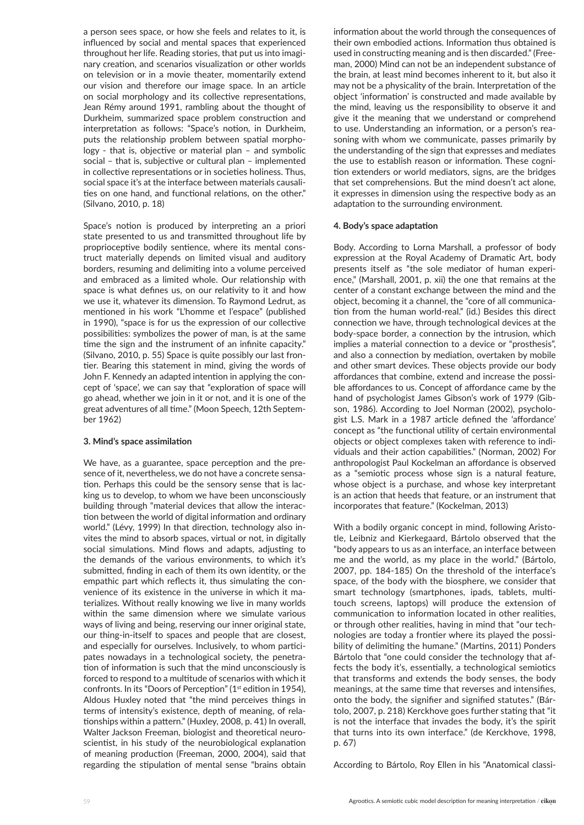a person sees space, or how she feels and relates to it, is influenced by social and mental spaces that experienced throughout her life. Reading stories, that put us into imaginary creation, and scenarios visualization or other worlds on television or in a movie theater, momentarily extend our vision and therefore our image space. In an article on social morphology and its collective representations, Jean Rémy around 1991, rambling about the thought of Durkheim, summarized space problem construction and interpretation as follows: "Space's notion, in Durkheim, puts the relationship problem between spatial morphology - that is, objective or material plan – and symbolic social – that is, subjective or cultural plan – implemented in collective representations or in societies holiness. Thus, social space it's at the interface between materials causalities on one hand, and functional relations, on the other." (Silvano, 2010, p. 18)

Space's notion is produced by interpreting an a priori state presented to us and transmitted throughout life by proprioceptive bodily sentience, where its mental construct materially depends on limited visual and auditory borders, resuming and delimiting into a volume perceived and embraced as a limited whole. Our relationship with space is what defines us, on our relativity to it and how we use it, whatever its dimension. To Raymond Ledrut, as mentioned in his work "L'homme et l'espace" (published in 1990), "space is for us the expression of our collective possibilities: symbolizes the power of man, is at the same time the sign and the instrument of an infinite capacity." (Silvano, 2010, p. 55) Space is quite possibly our last frontier. Bearing this statement in mind, giving the words of John F. Kennedy an adapted intention in applying the concept of 'space', we can say that "exploration of space will go ahead, whether we join in it or not, and it is one of the great adventures of all time." (Moon Speech, 12th September 1962)

## **3. Mind's space assimilation**

We have, as a guarantee, space perception and the presence of it, nevertheless, we do not have a concrete sensation. Perhaps this could be the sensory sense that is lacking us to develop, to whom we have been unconsciously building through "material devices that allow the interaction between the world of digital information and ordinary world." (Lévy, 1999) In that direction, technology also invites the mind to absorb spaces, virtual or not, in digitally social simulations. Mind flows and adapts, adjusting to the demands of the various environments, to which it's submitted, finding in each of them its own identity, or the empathic part which reflects it, thus simulating the convenience of its existence in the universe in which it materializes. Without really knowing we live in many worlds within the same dimension where we simulate various ways of living and being, reserving our inner original state, our thing-in-itself to spaces and people that are closest, and especially for ourselves. Inclusively, to whom participates nowadays in a technological society, the penetration of information is such that the mind unconsciously is forced to respond to a multitude of scenarios with which it confronts. In its "Doors of Perception" (1<sup>st</sup> edition in 1954), Aldous Huxley noted that "the mind perceives things in terms of intensity's existence, depth of meaning, of relationships within a pattern." (Huxley, 2008, p. 41) In overall, Walter Jackson Freeman, biologist and theoretical neuroscientist, in his study of the neurobiological explanation of meaning production (Freeman, 2000, 2004), said that regarding the stipulation of mental sense "brains obtain information about the world through the consequences of their own embodied actions. Information thus obtained is used in constructing meaning and is then discarded." (Freeman, 2000) Mind can not be an independent substance of the brain, at least mind becomes inherent to it, but also it may not be a physicality of the brain. Interpretation of the object 'information' is constructed and made available by the mind, leaving us the responsibility to observe it and give it the meaning that we understand or comprehend to use. Understanding an information, or a person's reasoning with whom we communicate, passes primarily by the understanding of the sign that expresses and mediates the use to establish reason or information. These cognition extenders or world mediators, signs, are the bridges that set comprehensions. But the mind doesn't act alone, it expresses in dimension using the respective body as an adaptation to the surrounding environment.

## **4. Body's space adaptation**

Body. According to Lorna Marshall, a professor of body expression at the Royal Academy of Dramatic Art, body presents itself as "the sole mediator of human experience," (Marshall, 2001, p. xii) the one that remains at the center of a constant exchange between the mind and the object, becoming it a channel, the "core of all communication from the human world-real." (id.) Besides this direct connection we have, through technological devices at the body-space border, a connection by the intrusion, which implies a material connection to a device or "prosthesis", and also a connection by mediation, overtaken by mobile and other smart devices. These objects provide our body affordances that combine, extend and increase the possible affordances to us. Concept of affordance came by the hand of psychologist James Gibson's work of 1979 (Gibson, 1986). According to Joel Norman (2002), psychologist L.S. Mark in a 1987 article defined the 'affordance' concept as "the functional utility of certain environmental objects or object complexes taken with reference to individuals and their action capabilities." (Norman, 2002) For anthropologist Paul Kockelman an affordance is observed as a "semiotic process whose sign is a natural feature, whose object is a purchase, and whose key interpretant is an action that heeds that feature, or an instrument that incorporates that feature." (Kockelman, 2013)

With a bodily organic concept in mind, following Aristotle, Leibniz and Kierkegaard, Bártolo observed that the "body appears to us as an interface, an interface between me and the world, as my place in the world." (Bártolo, 2007, pp. 184-185) On the threshold of the interface's space, of the body with the biosphere, we consider that smart technology (smartphones, ipads, tablets, multitouch screens, laptops) will produce the extension of communication to information located in other realities, or through other realities, having in mind that "our technologies are today a frontier where its played the possibility of delimiting the humane." (Martins, 2011) Ponders Bártolo that "one could consider the technology that affects the body it's, essentially, a technological semiotics that transforms and extends the body senses, the body meanings, at the same time that reverses and intensifies, onto the body, the signifier and signified statutes." (Bártolo, 2007, p. 218) Kerckhove goes further stating that "it is not the interface that invades the body, it's the spirit that turns into its own interface." (de Kerckhove, 1998, p. 67)

According to Bártolo, Roy Ellen in his "Anatomical classi-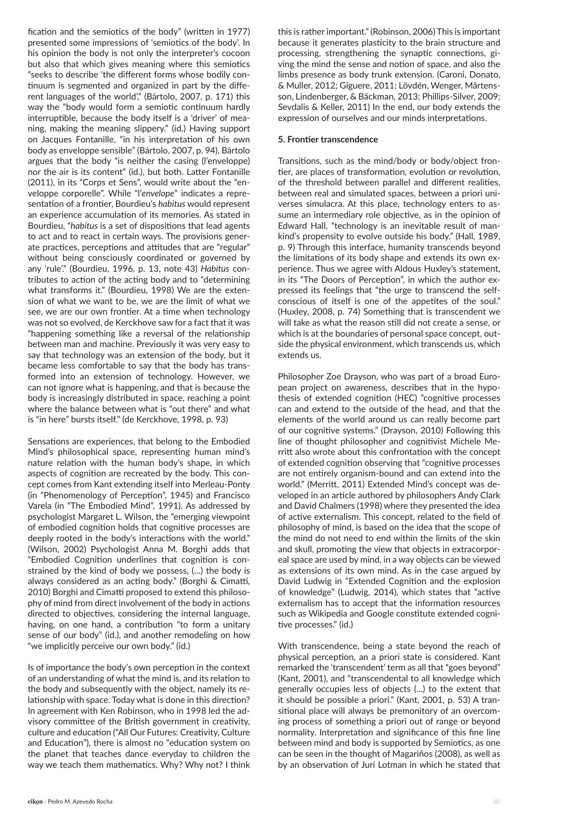fication and the semiotics of the body" (written in 1977) presented some impressions of 'semiotics of the body'. In his opinion the body is not only the interpreter's cocoon but also that which gives meaning where this semiotics "seeks to describe 'the different forms whose bodily continuum is segmented and organized in part by the different languages of the world" (Bártolo, 2007, p. 171) this way the "body would form a semiotic continuum hardly interruptible, because the body itself is a 'driver' of meaning, making the meaning slippery." (id.) Having support on Jacques Fontanille, "in his interpretation of his own body as enveloppe sensible" (Bártolo, 2007, p. 94), Bártolo argues that the body "is neither the casing (l'enveloppe) nor the air is its content" (id.), but both. Latter Fontanille (2011), in its "Corps et Sens", would write about the "enveloppe corporelle". While "l'*envelope*" indicates a representation of a frontier, Bourdieu's *habitus* would represent an experience accumulation of its memories. As stated in Bourdieu, "*habitus* is a set of dispositions that lead agents to act and to react in certain ways. The provisions generate practices, perceptions and attitudes that are "regular" without being consciously coordinated or governed by any 'rule'." (Bourdieu, 1996, p. 13, note 43) *Habitus* contributes to action of the acting body and to "determining what transforms it." (Bourdieu, 1998) We are the extension of what we want to be, we are the limit of what we see, we are our own frontier. At a time when technology was not so evolved, de Kerckhove saw for a fact that it was "happening something like a reversal of the relationship between man and machine. Previously it was very easy to say that technology was an extension of the body, but it became less comfortable to say that the body has transformed into an extension of technology. However, we can not ignore what is happening, and that is because the body is increasingly distributed in space, reaching a point where the balance between what is "out there" and what is "in here" bursts itself." (de Kerckhove, 1998, p. 93)

Sensations are experiences, that belong to the Embodied Mind's philosophical space, representing human mind's nature relation with the human body's shape, in which aspects of cognition are recreated by the body. This concept comes from Kant extending itself into Merleau-Ponty (in "Phenomenology of Perception", 1945) and Francisco Varela (in "The Embodied Mind", 1991). As addressed by psychologist Margaret L. Wilson, the "emerging viewpoint of embodied cognition holds that cognitive processes are deeply rooted in the body's interactions with the world." (Wilson, 2002) Psychologist Anna M. Borghi adds that "Embodied Cognition underlines that cognition is constrained by the kind of body we possess, (…) the body is always considered as an acting body." (Borghi & Cimatti, 2010) Borghi and Cimatti proposed to extend this philosophy of mind from direct involvement of the body in actions directed to objectives, considering the internal language, having, on one hand, a contribution "to form a unitary sense of our body" (id.), and another remodeling on how "we implicitly perceive our own body." (id.)

Is of importance the body's own perception in the context of an understanding of what the mind is, and its relation to the body and subsequently with the object, namely its relationship with space. Today what is done in this direction? In agreement with Ken Robinson, who in 1998 led the advisory committee of the British government in creativity, culture and education ("All Our Futures: Creativity, Culture and Education"), there is almost no "education system on the planet that teaches dance everyday to children the way we teach them mathematics. Why? Why not? I think this is rather important." (Robinson, 2006) This is important because it generates plasticity to the brain structure and processing, strengthening the synaptic connections, giving the mind the sense and notion of space, and also the limbs presence as body trunk extension. (Caroni, Donato, & Muller, 2012; Giguere, 2011; Lövdén, Wenger, Mårtensson, Lindenberger, & Bäckman, 2013; Phillips-Silver, 2009; Sevdalis & Keller, 2011) In the end, our body extends the expression of ourselves and our minds interpretations.

## **5. Frontier transcendence**

Transitions, such as the mind/body or body/object frontier, are places of transformation, evolution or revolution, of the threshold between parallel and different realities, between real and simulated spaces, between a priori universes simulacra. At this place, technology enters to assume an intermediary role objective, as in the opinion of Edward Hall, "technology is an inevitable result of mankind's propensity to evolve outside his body." (Hall, 1989, p. 9) Through this interface, humanity transcends beyond the limitations of its body shape and extends its own experience. Thus we agree with Aldous Huxley's statement, in its "The Doors of Perception", in which the author expressed its feelings that "the urge to transcend the selfconscious of itself is one of the appetites of the soul." (Huxley, 2008, p. 74) Something that is transcendent we will take as what the reason still did not create a sense, or which is at the boundaries of personal space concept, outside the physical environment, which transcends us, which extends us.

Philosopher Zoe Drayson, who was part of a broad European project on awareness, describes that in the hypothesis of extended cognition (HEC) "cognitive processes can and extend to the outside of the head, and that the elements of the world around us can really become part of our cognitive systems." (Drayson, 2010) Following this line of thought philosopher and cognitivist Michele Merritt also wrote about this confrontation with the concept of extended cognition observing that "cognitive processes are not entirely organism-bound and can extend into the world." (Merritt, 2011) Extended Mind's concept was developed in an article authored by philosophers Andy Clark and David Chalmers (1998) where they presented the idea of active externalism. This concept, related to the field of philosophy of mind, is based on the idea that the scope of the mind do not need to end within the limits of the skin and skull, promoting the view that objects in extracorporeal space are used by mind, in a way objects can be viewed as extensions of its own mind. As in the case argued by David Ludwig in "Extended Cognition and the explosion of knowledge" (Ludwig, 2014), which states that "active externalism has to accept that the information resources such as Wikipedia and Google constitute extended cognitive processes." (id.)

With transcendence, being a state beyond the reach of physical perception, an a priori state is considered. Kant remarked the 'transcendent' term as all that "goes beyond" (Kant, 2001), and "transcendental to all knowledge which generally occupies less of objects (...) to the extent that it should be possible a priori." (Kant, 2001, p. 53) A transitional place will always be premonitory of an overcoming process of something a priori out of range or beyond normality. Interpretation and significance of this fine line between mind and body is supported by Semiotics, as one can be seen in the thought of Magariños (2008), as well as by an observation of Juri Lotman in which he stated that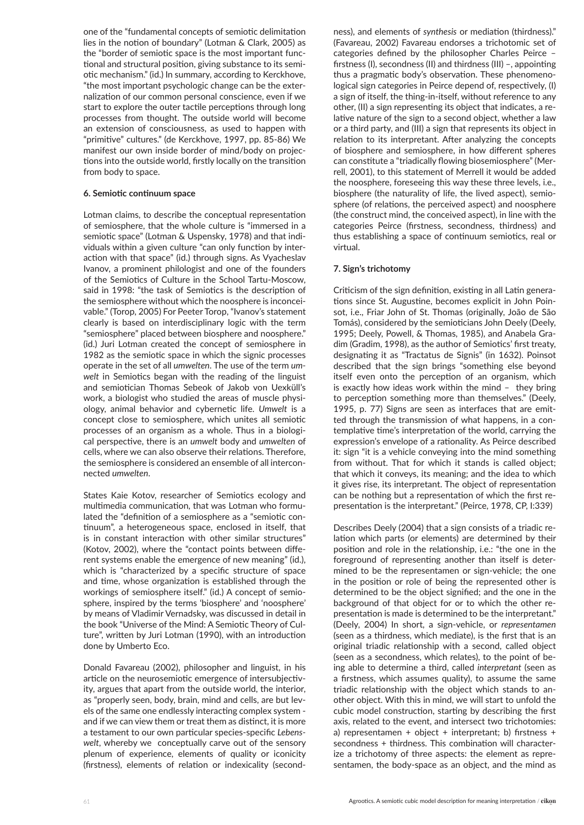one of the "fundamental concepts of semiotic delimitation lies in the notion of boundary" (Lotman & Clark, 2005) as the "border of semiotic space is the most important functional and structural position, giving substance to its semiotic mechanism." (id.) In summary, according to Kerckhove, "the most important psychologic change can be the externalization of our common personal conscience, even if we start to explore the outer tactile perceptions through long processes from thought. The outside world will become an extension of consciousness, as used to happen with "primitive" cultures." (de Kerckhove, 1997, pp. 85-86) We manifest our own inside border of mind/body on projections into the outside world, firstly locally on the transition from body to space.

## **6. Semiotic continuum space**

Lotman claims, to describe the conceptual representation of semiosphere, that the whole culture is "immersed in a semiotic space" (Lotman & Uspensky, 1978) and that individuals within a given culture "can only function by interaction with that space" (id.) through signs. As Vyacheslav Ivanov, a prominent philologist and one of the founders of the Semiotics of Culture in the School Tartu-Moscow, said in 1998: "the task of Semiotics is the description of the semiosphere without which the noosphere is inconceivable." (Torop, 2005) For Peeter Torop, "Ivanov's statement clearly is based on interdisciplinary logic with the term "semiosphere" placed between biosphere and noosphere." (id.) Juri Lotman created the concept of semiosphere in 1982 as the semiotic space in which the signic processes operate in the set of all *umwelten*. The use of the term *umwelt* in Semiotics began with the reading of the linguist and semiotician Thomas Sebeok of Jakob von Uexküll's work, a biologist who studied the areas of muscle physiology, animal behavior and cybernetic life. *Umwelt* is a concept close to semiosphere, which unites all semiotic processes of an organism as a whole. Thus in a biological perspective, there is an *umwelt* body and *umwelten* of cells, where we can also observe their relations. Therefore, the semiosphere is considered an ensemble of all interconnected *umwelten*.

States Kaie Kotov, researcher of Semiotics ecology and multimedia communication, that was Lotman who formulated the "definition of a semiosphere as a "semiotic continuum", a heterogeneous space, enclosed in itself, that is in constant interaction with other similar structures" (Kotov, 2002), where the "contact points between different systems enable the emergence of new meaning" (id.), which is "characterized by a specific structure of space and time, whose organization is established through the workings of semiosphere itself." (id.) A concept of semiosphere, inspired by the terms 'biosphere' and 'noosphere' by means of Vladimir Vernadsky, was discussed in detail in the book "Universe of the Mind: A Semiotic Theory of Culture", written by Juri Lotman (1990), with an introduction done by Umberto Eco.

Donald Favareau (2002), philosopher and linguist, in his article on the neurosemiotic emergence of intersubjectivity, argues that apart from the outside world, the interior, as "properly seen, body, brain, mind and cells, are but levels of the same one endlessly interacting complex system and if we can view them or treat them as distinct, it is more a testament to our own particular species-specific *Lebenswelt*, whereby we conceptually carve out of the sensory plenum of experience, elements of quality or iconicity (firstness), elements of relation or indexicality (secondness), and elements of *synthesis* or mediation (thirdness)." (Favareau, 2002) Favareau endorses a trichotomic set of categories defined by the philosopher Charles Peirce – firstness (I), secondness (II) and thirdness (III) –, appointing thus a pragmatic body's observation. These phenomenological sign categories in Peirce depend of, respectively, (I) a sign of itself, the thing-in-itself, without reference to any other, (II) a sign representing its object that indicates, a relative nature of the sign to a second object, whether a law or a third party, and (III) a sign that represents its object in relation to its interpretant. After analyzing the concepts of biosphere and semiosphere, in how different spheres can constitute a "triadically flowing biosemiosphere" (Merrell, 2001), to this statement of Merrell it would be added the noosphere, foreseeing this way these three levels, i.e., biosphere (the naturality of life, the lived aspect), semiosphere (of relations, the perceived aspect) and noosphere (the construct mind, the conceived aspect), in line with the categories Peirce (firstness, secondness, thirdness) and thus establishing a space of continuum semiotics, real or virtual.

## **7. Sign's trichotomy**

Criticism of the sign definition, existing in all Latin generations since St. Augustine, becomes explicit in John Poinsot, i.e., Friar John of St. Thomas (originally, João de São Tomás), considered by the semioticians John Deely (Deely, 1995; Deely, Powell, & Thomas, 1985), and Anabela Gradim (Gradim, 1998), as the author of Semiotics' first treaty, designating it as "Tractatus de Signis" (in 1632). Poinsot described that the sign brings "something else beyond itself even onto the perception of an organism, which is exactly how ideas work within the mind – they bring to perception something more than themselves." (Deely, 1995, p. 77) Signs are seen as interfaces that are emitted through the transmission of what happens, in a contemplative time's interpretation of the world, carrying the expression's envelope of a rationality. As Peirce described it: sign "it is a vehicle conveying into the mind something from without. That for which it stands is called object; that which it conveys, its meaning; and the idea to which it gives rise, its interpretant. The object of representation can be nothing but a representation of which the first representation is the interpretant." (Peirce, 1978, CP, I:339)

Describes Deely (2004) that a sign consists of a triadic relation which parts (or elements) are determined by their position and role in the relationship, i.e.: "the one in the foreground of representing another than itself is determined to be the representamen or sign-vehicle; the one in the position or role of being the represented other is determined to be the object signified; and the one in the background of that object for or to which the other representation is made is determined to be the interpretant." (Deely, 2004) In short, a sign-vehicle, or *representamen*  (seen as a thirdness, which mediate), is the first that is an original triadic relationship with a second, called object (seen as a secondness, which relates), to the point of being able to determine a third, called *interpretant* (seen as a firstness, which assumes quality), to assume the same triadic relationship with the object which stands to another object. With this in mind, we will start to unfold the cubic model construction, starting by describing the first axis, related to the event, and intersect two trichotomies: a) representamen + object + interpretant; b) firstness + secondness + thirdness. This combination will characterize a trichotomy of three aspects: the element as representamen, the body-space as an object, and the mind as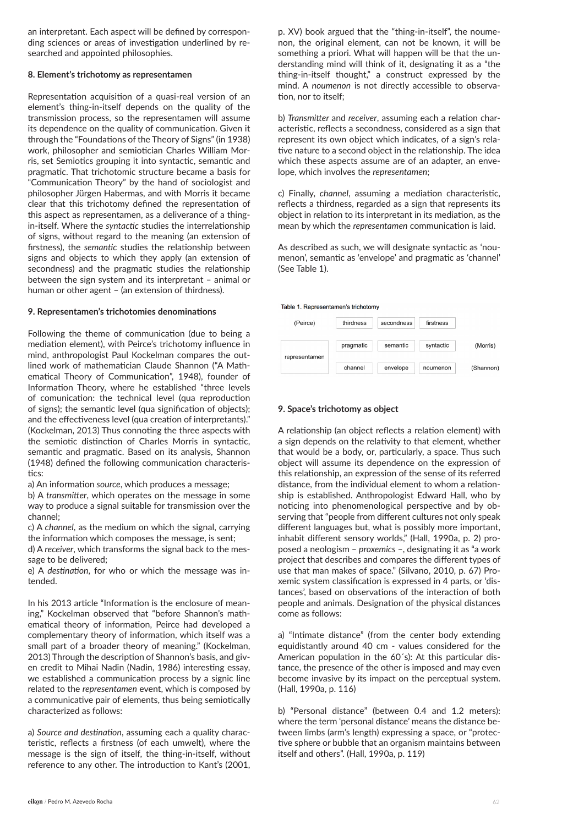an interpretant. Each aspect will be defined by corresponding sciences or areas of investigation underlined by researched and appointed philosophies.

#### **8. Element's trichotomy as representamen**

Representation acquisition of a quasi-real version of an element's thing-in-itself depends on the quality of the transmission process, so the representamen will assume its dependence on the quality of communication. Given it through the "Foundations of the Theory of Signs" (in 1938) work, philosopher and semiotician Charles William Morris, set Semiotics grouping it into syntactic, semantic and pragmatic. That trichotomic structure became a basis for "Communication Theory" by the hand of sociologist and philosopher Jürgen Habermas, and with Morris it became clear that this trichotomy defined the representation of this aspect as representamen, as a deliverance of a thingin-itself. Where the *syntactic* studies the interrelationship of signs, without regard to the meaning (an extension of firstness), the *semantic* studies the relationship between signs and objects to which they apply (an extension of secondness) and the pragmatic studies the relationship between the sign system and its interpretant – animal or human or other agent – (an extension of thirdness).

#### **9. Representamen's trichotomies denominations**

Following the theme of communication (due to being a mediation element), with Peirce's trichotomy influence in mind, anthropologist Paul Kockelman compares the outlined work of mathematician Claude Shannon ("A Mathematical Theory of Communication", 1948), founder of Information Theory, where he established "three levels of comunication: the technical level (qua reproduction of signs); the semantic level (qua signification of objects); and the effectiveness level (qua creation of interpretants)." (Kockelman, 2013) Thus connoting the three aspects with the semiotic distinction of Charles Morris in syntactic, semantic and pragmatic. Based on its analysis, Shannon (1948) defined the following communication characteristics:

a) An information *source*, which produces a message;

b) A *transmitter*, which operates on the message in some way to produce a signal suitable for transmission over the channel;

c) A *channel*, as the medium on which the signal, carrying the information which composes the message, is sent;

d) A *receiver*, which transforms the signal back to the message to be delivered;

e) A *destination*, for who or which the message was intended.

In his 2013 article "Information is the enclosure of meaning," Kockelman observed that "before Shannon's mathematical theory of information, Peirce had developed a complementary theory of information, which itself was a small part of a broader theory of meaning." (Kockelman, 2013) Through the description of Shannon's basis, and given credit to Mihai Nadin (Nadin, 1986) interesting essay, we established a communication process by a signic line related to the *representamen* event, which is composed by a communicative pair of elements, thus being semiotically characterized as follows:

a) *Source and destination*, assuming each a quality characteristic, reflects a firstness (of each umwelt), where the message is the sign of itself, the thing-in-itself, without reference to any other. The introduction to Kant's (2001, p. XV) book argued that the "thing-in-itself", the noumenon, the original element, can not be known, it will be something a priori. What will happen will be that the understanding mind will think of it, designating it as a "the thing-in-itself thought," a construct expressed by the mind. A *noumenon* is not directly accessible to observation, nor to itself;

b) *Transmitter* and *receiver*, assuming each a relation characteristic, reflects a secondness, considered as a sign that represent its own object which indicates, of a sign's relative nature to a second object in the relationship. The idea which these aspects assume are of an adapter, an envelope, which involves the *representamen*;

c) Finally, *channel*, assuming a mediation characteristic, reflects a thirdness, regarded as a sign that represents its object in relation to its interpretant in its mediation, as the mean by which the *representamen* communication is laid.

As described as such, we will designate syntactic as 'noumenon', semantic as 'envelope' and pragmatic as 'channel' (See Table 1).

Table 1. Representamen's trichotomy



#### **9. Space's trichotomy as object**

A relationship (an object reflects a relation element) with a sign depends on the relativity to that element, whether that would be a body, or, particularly, a space. Thus such object will assume its dependence on the expression of this relationship, an expression of the sense of its referred distance, from the individual element to whom a relationship is established. Anthropologist Edward Hall, who by noticing into phenomenological perspective and by observing that "people from different cultures not only speak different languages but, what is possibly more important, inhabit different sensory worlds," (Hall, 1990a, p. 2) proposed a neologism – *proxemics* –, designating it as "a work project that describes and compares the different types of use that man makes of space." (Silvano, 2010, p. 67) Proxemic system classification is expressed in 4 parts, or 'distances', based on observations of the interaction of both people and animals. Designation of the physical distances come as follows:

a) "Intimate distance" (from the center body extending equidistantly around 40 cm - values considered for the American population in the 60´s): At this particular distance, the presence of the other is imposed and may even become invasive by its impact on the perceptual system. (Hall, 1990a, p. 116)

b) "Personal distance" (between 0.4 and 1.2 meters): where the term 'personal distance' means the distance between limbs (arm's length) expressing a space, or "protective sphere or bubble that an organism maintains between itself and others". (Hall, 1990a, p. 119)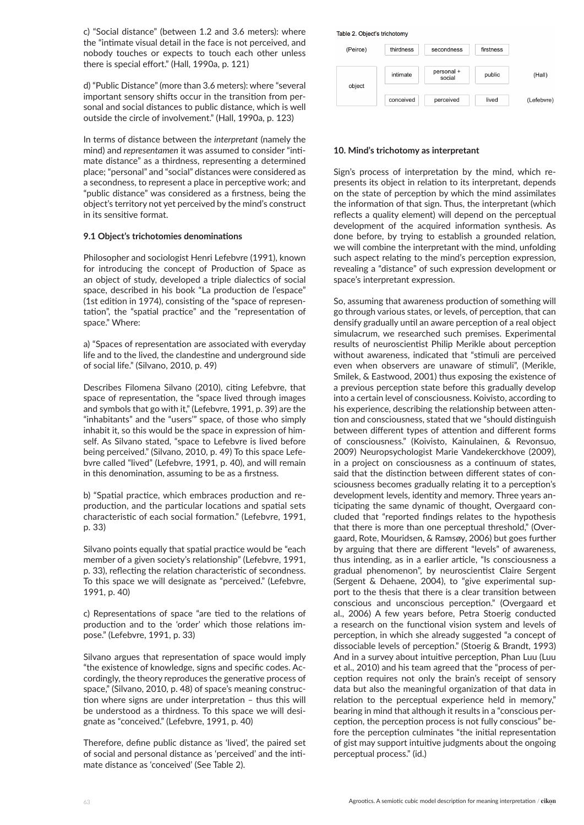c) "Social distance" (between 1.2 and 3.6 meters): where the "intimate visual detail in the face is not perceived, and nobody touches or expects to touch each other unless there is special effort." (Hall, 1990a, p. 121)

d) "Public Distance" (more than 3.6 meters): where "several important sensory shifts occur in the transition from personal and social distances to public distance, which is well outside the circle of involvement." (Hall, 1990a, p. 123)

In terms of distance between the *interpretant* (namely the mind) and *representamen* it was assumed to consider "intimate distance" as a thirdness, representing a determined place; "personal" and "social" distances were considered as a secondness, to represent a place in perceptive work; and "public distance" was considered as a firstness, being the object's territory not yet perceived by the mind's construct in its sensitive format.

## **9.1 Object's trichotomies denominations**

Philosopher and sociologist Henri Lefebvre (1991), known for introducing the concept of Production of Space as an object of study, developed a triple dialectics of social space, described in his book "La production de l'espace" (1st edition in 1974), consisting of the "space of representation", the "spatial practice" and the "representation of space." Where:

a) "Spaces of representation are associated with everyday life and to the lived, the clandestine and underground side of social life." (Silvano, 2010, p. 49)

Describes Filomena Silvano (2010), citing Lefebvre, that space of representation, the "space lived through images and symbols that go with it," (Lefebvre, 1991, p. 39) are the "inhabitants" and the "users'" space, of those who simply inhabit it, so this would be the space in expression of himself. As Silvano stated, "space to Lefebvre is lived before being perceived." (Silvano, 2010, p. 49) To this space Lefebvre called "lived" (Lefebvre, 1991, p. 40), and will remain in this denomination, assuming to be as a firstness.

b) "Spatial practice, which embraces production and reproduction, and the particular locations and spatial sets characteristic of each social formation." (Lefebvre, 1991, p. 33)

Silvano points equally that spatial practice would be "each member of a given society's relationship" (Lefebvre, 1991, p. 33), reflecting the relation characteristic of secondness. To this space we will designate as "perceived." (Lefebvre, 1991, p. 40)

c) Representations of space "are tied to the relations of production and to the 'order' which those relations impose." (Lefebvre, 1991, p. 33)

Silvano argues that representation of space would imply "the existence of knowledge, signs and specific codes. Accordingly, the theory reproduces the generative process of space," (Silvano, 2010, p. 48) of space's meaning construction where signs are under interpretation – thus this will be understood as a thirdness. To this space we will designate as "conceived." (Lefebvre, 1991, p. 40)

Therefore, define public distance as 'lived', the paired set of social and personal distance as 'perceived' and the intimate distance as 'conceived' (See Table 2).



#### **10. Mind's trichotomy as interpretant**

Sign's process of interpretation by the mind, which represents its object in relation to its interpretant, depends on the state of perception by which the mind assimilates the information of that sign. Thus, the interpretant (which reflects a quality element) will depend on the perceptual development of the acquired information synthesis. As done before, by trying to establish a grounded relation, we will combine the interpretant with the mind, unfolding such aspect relating to the mind's perception expression, revealing a "distance" of such expression development or space's interpretant expression.

So, assuming that awareness production of something will go through various states, or levels, of perception, that can densify gradually until an aware perception of a real object simulacrum, we researched such premises. Experimental results of neuroscientist Philip Merikle about perception without awareness, indicated that "stimuli are perceived even when observers are unaware of stimuli", (Merikle, Smilek, & Eastwood, 2001) thus exposing the existence of a previous perception state before this gradually develop into a certain level of consciousness. Koivisto, according to his experience, describing the relationship between attention and consciousness, stated that we "should distinguish between different types of attention and different forms of consciousness." (Koivisto, Kainulainen, & Revonsuo, 2009) Neuropsychologist Marie Vandekerckhove (2009), in a project on consciousness as a continuum of states, said that the distinction between different states of consciousness becomes gradually relating it to a perception's development levels, identity and memory. Three years anticipating the same dynamic of thought, Overgaard concluded that "reported findings relates to the hypothesis that there is more than one perceptual threshold," (Overgaard, Rote, Mouridsen, & Ramsøy, 2006) but goes further by arguing that there are different "levels" of awareness, thus intending, as in a earlier article, "Is consciousness a gradual phenomenon", by neuroscientist Claire Sergent (Sergent & Dehaene, 2004), to "give experimental support to the thesis that there is a clear transition between conscious and unconscious perception." (Overgaard et al., 2006) A few years before, Petra Stoerig conducted a research on the functional vision system and levels of perception, in which she already suggested "a concept of dissociable levels of perception." (Stoerig & Brandt, 1993) And in a survey about intuitive perception, Phan Luu (Luu et al., 2010) and his team agreed that the "process of perception requires not only the brain's receipt of sensory data but also the meaningful organization of that data in relation to the perceptual experience held in memory," bearing in mind that although it results in a "conscious perception, the perception process is not fully conscious" before the perception culminates "the initial representation of gist may support intuitive judgments about the ongoing perceptual process." (id.)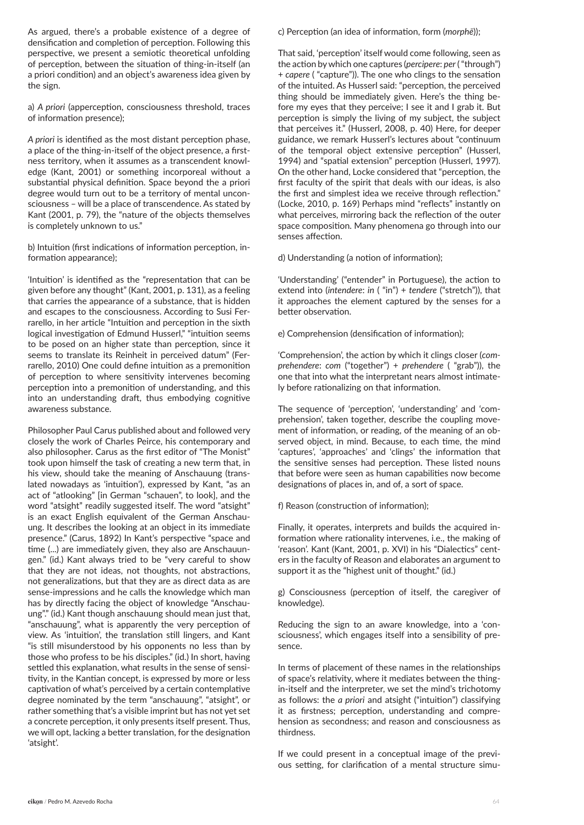As argued, there's a probable existence of a degree of densification and completion of perception. Following this perspective, we present a semiotic theoretical unfolding of perception, between the situation of thing-in-itself (an a priori condition) and an object's awareness idea given by the sign.

a) *A priori* (apperception, consciousness threshold, traces of information presence);

*A priori* is identified as the most distant perception phase, a place of the thing-in-itself of the object presence, a firstness territory, when it assumes as a transcendent knowledge (Kant, 2001) or something incorporeal without a substantial physical definition. Space beyond the a priori degree would turn out to be a territory of mental unconsciousness – will be a place of transcendence. As stated by Kant (2001, p. 79), the "nature of the objects themselves is completely unknown to us."

b) Intuition (first indications of information perception, information appearance);

'Intuition' is identified as the "representation that can be given before any thought" (Kant, 2001, p. 131), as a feeling that carries the appearance of a substance, that is hidden and escapes to the consciousness. According to Susi Ferrarello, in her article "Intuition and perception in the sixth logical investigation of Edmund Husserl," "intuition seems to be posed on an higher state than perception, since it seems to translate its Reinheit in perceived datum" (Ferrarello, 2010) One could define intuition as a premonition of perception to where sensitivity intervenes becoming perception into a premonition of understanding, and this into an understanding draft, thus embodying cognitive awareness substance.

Philosopher Paul Carus published about and followed very closely the work of Charles Peirce, his contemporary and also philosopher. Carus as the first editor of "The Monist" took upon himself the task of creating a new term that, in his view, should take the meaning of Anschauung (translated nowadays as 'intuition'), expressed by Kant, "as an act of "atlooking" [in German "schauen", to look], and the word "atsight" readily suggested itself. The word "atsight" is an exact English equivalent of the German Anschauung. It describes the looking at an object in its immediate presence." (Carus, 1892) In Kant's perspective "space and time (...) are immediately given, they also are Anschauungen." (id.) Kant always tried to be "very careful to show that they are not ideas, not thoughts, not abstractions, not generalizations, but that they are as direct data as are sense-impressions and he calls the knowledge which man has by directly facing the object of knowledge "Anschauung"." (id.) Kant though anschauung should mean just that, "anschauung", what is apparently the very perception of view. As 'intuition', the translation still lingers, and Kant "is still misunderstood by his opponents no less than by those who profess to be his disciples." (id.) In short, having settled this explanation, what results in the sense of sensitivity, in the Kantian concept, is expressed by more or less captivation of what's perceived by a certain contemplative degree nominated by the term "anschauung", "atsight", or rather something that's a visible imprint but has not yet set a concrete perception, it only presents itself present. Thus, we will opt, lacking a better translation, for the designation 'atsight'.

c) Perception (an idea of information, form (*morphē*));

That said, 'perception' itself would come following, seen as the action by which one captures (*percipere*: *per* ( "through") + *capere* ( "capture")). The one who clings to the sensation of the intuited. As Husserl said: "perception, the perceived thing should be immediately given. Here's the thing before my eyes that they perceive; I see it and I grab it. But perception is simply the living of my subject, the subject that perceives it." (Husserl, 2008, p. 40) Here, for deeper guidance, we remark Husserl's lectures about "continuum of the temporal object extensive perception" (Husserl, 1994) and "spatial extension" perception (Husserl, 1997). On the other hand, Locke considered that "perception, the first faculty of the spirit that deals with our ideas, is also the first and simplest idea we receive through reflection." (Locke, 2010, p. 169) Perhaps mind "reflects" instantly on what perceives, mirroring back the reflection of the outer space composition. Many phenomena go through into our senses affection.

d) Understanding (a notion of information);

'Understanding' ("entender" in Portuguese), the action to extend into (*intendere*: *in* ( "in") + *tendere* ("stretch")), that it approaches the element captured by the senses for a better observation.

e) Comprehension (densification of information);

'Comprehension', the action by which it clings closer (*comprehendere*: *com* ("together") + *prehendere* ( "grab")), the one that into what the interpretant nears almost intimately before rationalizing on that information.

The sequence of 'perception', 'understanding' and 'comprehension', taken together, describe the coupling movement of information, or reading, of the meaning of an observed object, in mind. Because, to each time, the mind 'captures', 'approaches' and 'clings' the information that the sensitive senses had perception. These listed nouns that before were seen as human capabilities now become designations of places in, and of, a sort of space.

f) Reason (construction of information);

Finally, it operates, interprets and builds the acquired information where rationality intervenes, i.e., the making of 'reason'. Kant (Kant, 2001, p. XVI) in his "Dialectics" centers in the faculty of Reason and elaborates an argument to support it as the "highest unit of thought." (id.)

g) Consciousness (perception of itself, the caregiver of knowledge).

Reducing the sign to an aware knowledge, into a 'consciousness', which engages itself into a sensibility of presence.

In terms of placement of these names in the relationships of space's relativity, where it mediates between the thingin-itself and the interpreter, we set the mind's trichotomy as follows: the *a priori* and atsight ("intuition") classifying it as firstness; perception, understanding and comprehension as secondness; and reason and consciousness as thirdness.

If we could present in a conceptual image of the previous setting, for clarification of a mental structure simu-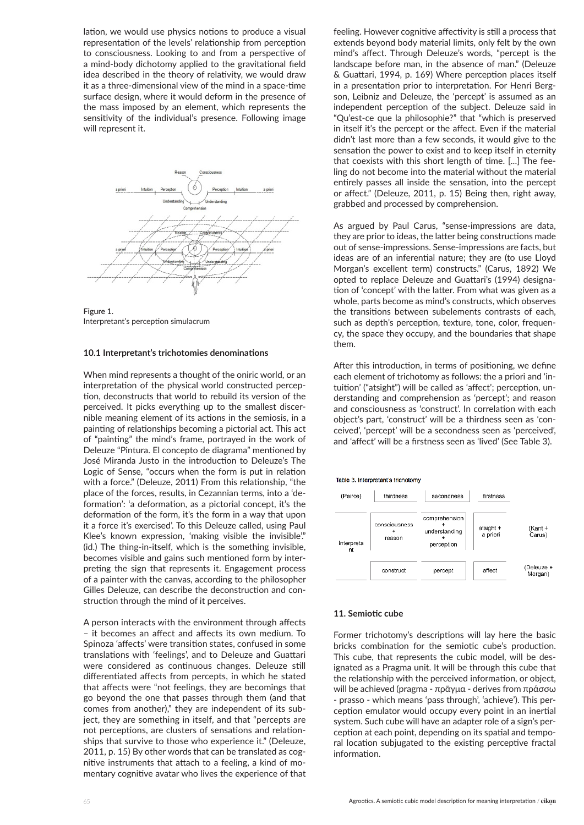lation, we would use physics notions to produce a visual representation of the levels' relationship from perception to consciousness. Looking to and from a perspective of a mind-body dichotomy applied to the gravitational field idea described in the theory of relativity, we would draw it as a three-dimensional view of the mind in a space-time surface design, where it would deform in the presence of the mass imposed by an element, which represents the sensitivity of the individual's presence. Following image will represent it.



**Figure 1.**  Interpretant's perception simulacrum

#### **10.1 Interpretant's trichotomies denominations**

When mind represents a thought of the oniric world, or an interpretation of the physical world constructed perception, deconstructs that world to rebuild its version of the perceived. It picks everything up to the smallest discernible meaning element of its actions in the semiosis, in a painting of relationships becoming a pictorial act. This act of "painting" the mind's frame, portrayed in the work of Deleuze "Pintura. El concepto de diagrama" mentioned by José Miranda Justo in the introduction to Deleuze's The Logic of Sense, "occurs when the form is put in relation with a force." (Deleuze, 2011) From this relationship, "the place of the forces, results, in Cezannian terms, into a 'deformation': 'a deformation, as a pictorial concept, it's the deformation of the form, it's the form in a way that upon it a force it's exercised'. To this Deleuze called, using Paul Klee's known expression, 'making visible the invisible'." (id.) The thing-in-itself, which is the something invisible, becomes visible and gains such mentioned form by interpreting the sign that represents it. Engagement process of a painter with the canvas, according to the philosopher Gilles Deleuze, can describe the deconstruction and construction through the mind of it perceives.

A person interacts with the environment through affects – it becomes an affect and affects its own medium. To Spinoza 'affects' were transition states, confused in some translations with 'feelings', and to Deleuze and Guattari were considered as continuous changes. Deleuze still differentiated affects from percepts, in which he stated that affects were "not feelings, they are becomings that go beyond the one that passes through them (and that comes from another)," they are independent of its subject, they are something in itself, and that "percepts are not perceptions, are clusters of sensations and relationships that survive to those who experience it." (Deleuze, 2011, p. 15) By other words that can be translated as cognitive instruments that attach to a feeling, a kind of momentary cognitive avatar who lives the experience of that feeling. However cognitive affectivity is still a process that extends beyond body material limits, only felt by the own mind's affect. Through Deleuze's words, "percept is the landscape before man, in the absence of man." (Deleuze & Guattari, 1994, p. 169) Where perception places itself in a presentation prior to interpretation. For Henri Bergson, Leibniz and Deleuze, the 'percept' is assumed as an independent perception of the subject. Deleuze said in "Qu'est-ce que la philosophie?" that "which is preserved in itself it's the percept or the affect. Even if the material didn't last more than a few seconds, it would give to the sensation the power to exist and to keep itself in eternity that coexists with this short length of time. [...] The feeling do not become into the material without the material entirely passes all inside the sensation, into the percept or affect." (Deleuze, 2011, p. 15) Being then, right away, grabbed and processed by comprehension.

As argued by Paul Carus, "sense-impressions are data, they are prior to ideas, the latter being constructions made out of sense-impressions. Sense-impressions are facts, but ideas are of an inferential nature; they are (to use Lloyd Morgan's excellent term) constructs." (Carus, 1892) We opted to replace Deleuze and Guattari's (1994) designation of 'concept' with the latter. From what was given as a whole, parts become as mind's constructs, which observes the transitions between subelements contrasts of each, such as depth's perception, texture, tone, color, frequency, the space they occupy, and the boundaries that shape them.

After this introduction, in terms of positioning, we define each element of trichotomy as follows: the a priori and 'intuition' ("atsight") will be called as 'affect'; perception, understanding and comprehension as 'percept'; and reason and consciousness as 'construct'. In correlation with each object's part, 'construct' will be a thirdness seen as 'conceived', 'percept' will be a secondness seen as 'perceived', and 'affect' will be a firstness seen as 'lived' (See Table 3).





#### **11. Semiotic cube**

Former trichotomy's descriptions will lay here the basic bricks combination for the semiotic cube's production. This cube, that represents the cubic model, will be designated as a Pragma unit. It will be through this cube that the relationship with the perceived information, or object, will be achieved (pragma - πρᾶγμα - derives from πράσσω - prasso - which means 'pass through', 'achieve'). This perception emulator would occupy every point in an inertial system. Such cube will have an adapter role of a sign's perception at each point, depending on its spatial and temporal location subjugated to the existing perceptive fractal information.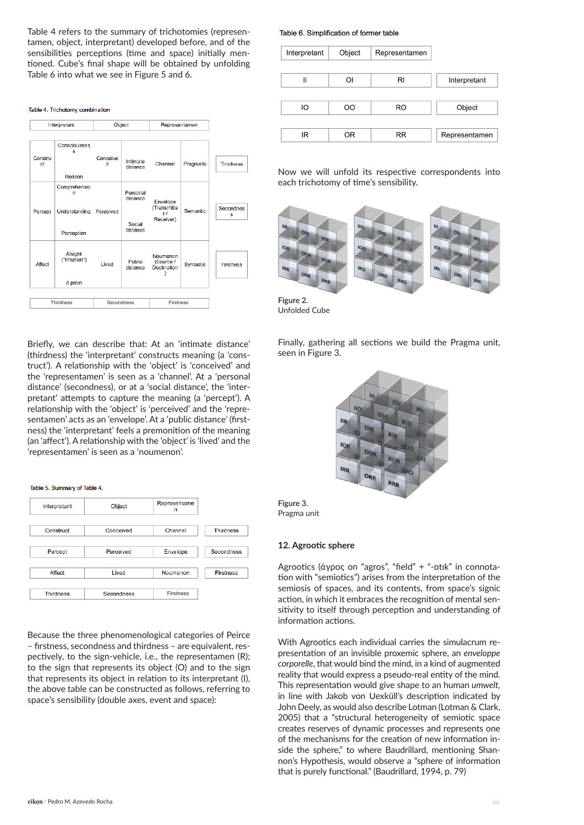Table 4 refers to the summary of trichotomies (representamen, object, interpretant) developed before, and of the sensibilities perceptions (time and space) initially mentioned. Cube's final shape will be obtained by unfolding Table 6 into what we see in Figure 5 and 6.

#### Table 4. Trichotomy combination

| Interpretant  |                                                  | Object        |                                            | Representamen                               |           |                |
|---------------|--------------------------------------------------|---------------|--------------------------------------------|---------------------------------------------|-----------|----------------|
| Constru<br>ct | Consciousnes<br>s<br>Reason                      | Conceive<br>d | Intimate<br>distance                       | Channel                                     | Pragmatic | Thirdness      |
| Percept       | Comprehensio<br>n<br>Understanding<br>Perception | Perceived     | Personal<br>distance<br>Social<br>distance | Envelope<br>(Transmitte<br>r f<br>Receiver) | Semantic  | Secondnes<br>s |
| Affect        | Atsight<br>("Intuition")<br>A priori             | Lived         | Public<br>distance                         | Noumenon<br>(Source /<br>Destination        | Syntactic | Firstness      |
| Thirdness     |                                                  | Secondness    |                                            | Firstness                                   |           |                |

Briefly, we can describe that: At an 'intimate distance' (thirdness) the 'interpretant' constructs meaning (a 'construct'). A relationship with the 'object' is 'conceived' and the 'representamen' is seen as a 'channel'. At a 'personal distance' (secondness), or at a 'social distance', the 'interpretant' attempts to capture the meaning (a 'percept'). A relationship with the 'object' is 'perceived' and the 'representamen' acts as an 'envelope'. At a 'public distance' (firstness) the 'interpretant' feels a premonition of the meaning (an 'affect'). A relationship with the 'object' is 'lived' and the 'representamen' is seen as a 'noumenon'.

#### Table 5, Summary of Table 4

| Interpretant | Object     | Representame<br>n |                  |
|--------------|------------|-------------------|------------------|
| Construct    | Conceived  | Channel           | Thirdness        |
| Percept      | Perceived  | Envelope          | Secondness       |
| Affect       | Lived      | Noumenon          | <b>Firstness</b> |
| Thirdness    | Secondness | <b>Firstness</b>  |                  |

Because the three phenomenological categories of Peirce – firstness, secondness and thirdness – are equivalent, respectively, to the sign-vehicle, i.e., the representamen (R); to the sign that represents its object (O) and to the sign that represents its object in relation to its interpretant (I), the above table can be constructed as follows, referring to space's sensibility (double axes, event and space):

#### Table 6. Simplification of former table

| Interpretant | Object<br>Representamen |           |               |
|--------------|-------------------------|-----------|---------------|
|              |                         |           |               |
| II<br>Οl     |                         | RI        | Interpretant  |
|              |                         |           |               |
| IO           | OΟ                      | <b>RO</b> | Object        |
|              |                         |           |               |
| ΙR           | OR                      | <b>RR</b> | Representamen |
|              |                         |           |               |

Now we will unfold its respective correspondents into each trichotomy of time's sensibility.



**Figure 2.**  Unfolded Cube

Finally, gathering all sections we build the Pragma unit, seen in Figure 3.





#### **12. Agrootic sphere**

Agrootics (άγρος on "agros", "field" + "-ɒtɪk" in connotation with "semiotics") arises from the interpretation of the semiosis of spaces, and its contents, from space's signic action, in which it embraces the recognition of mental sensitivity to itself through perception and understanding of information actions.

With Agrootics each individual carries the simulacrum representation of an invisible proxemic sphere, an *enveloppe corporelle*, that would bind the mind, in a kind of augmented reality that would express a pseudo-real entity of the mind. This representation would give shape to an human *umwelt,* in line with Jakob von Uexküll's description indicated by John Deely, as would also describe Lotman (Lotman & Clark, 2005) that a "structural heterogeneity of semiotic space creates reserves of dynamic processes and represents one of the mechanisms for the creation of new information inside the sphere," to where Baudrillard, mentioning Shannon's Hypothesis, would observe a "sphere of information that is purely functional." (Baudrillard, 1994, p. 79)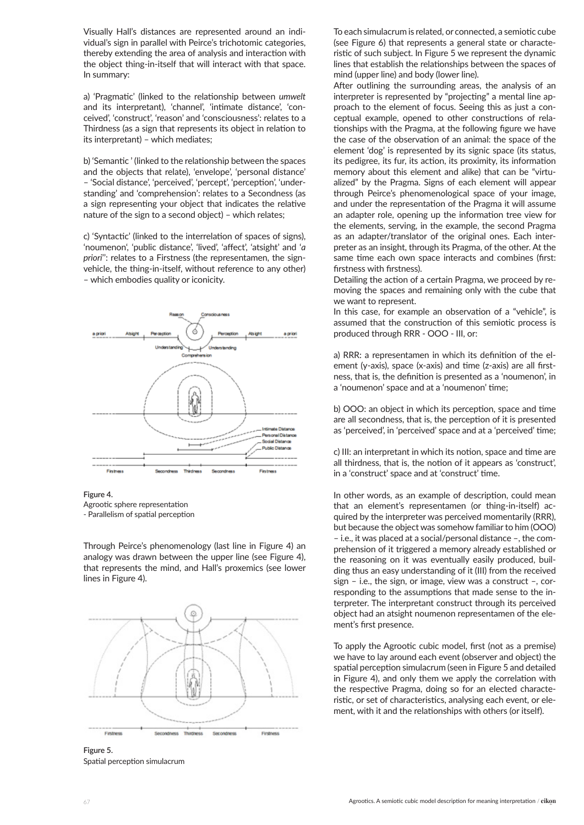Visually Hall's distances are represented around an individual's sign in parallel with Peirce's trichotomic categories, thereby extending the area of analysis and interaction with the object thing-in-itself that will interact with that space. In summary:

a) 'Pragmatic' (linked to the relationship between *umwelt*  and its interpretant), 'channel', 'intimate distance', 'conceived', 'construct', 'reason' and 'consciousness': relates to a Thirdness (as a sign that represents its object in relation to its interpretant) – which mediates;

b) 'Semantic ' (linked to the relationship between the spaces and the objects that relate), 'envelope', 'personal distance' – 'Social distance', 'perceived', 'percept', 'perception', 'understanding' and 'comprehension': relates to a Secondness (as a sign representing your object that indicates the relative nature of the sign to a second object) – which relates;

c) 'Syntactic' (linked to the interrelation of spaces of signs), 'noumenon', 'public distance', 'lived', 'affect', 'atsight' and '*a priori*'': relates to a Firstness (the representamen, the signvehicle, the thing-in-itself, without reference to any other) – which embodies quality or iconicity.



**Figure 4.** 

Agrootic sphere representation - Parallelism of spatial perception

Through Peirce's phenomenology (last line in Figure 4) an analogy was drawn between the upper line (see Figure 4), that represents the mind, and Hall's proxemics (see lower lines in Figure 4).



**Figure 5.**  Spatial perception simulacrum

To each simulacrum is related, or connected, a semiotic cube (see Figure 6) that represents a general state or characteristic of such subject. In Figure 5 we represent the dynamic lines that establish the relationships between the spaces of mind (upper line) and body (lower line).

After outlining the surrounding areas, the analysis of an interpreter is represented by "projecting" a mental line approach to the element of focus. Seeing this as just a conceptual example, opened to other constructions of relationships with the Pragma, at the following figure we have the case of the observation of an animal: the space of the element 'dog' is represented by its signic space (its status, its pedigree, its fur, its action, its proximity, its information memory about this element and alike) that can be "virtualized" by the Pragma. Signs of each element will appear through Peirce's phenomenological space of your image, and under the representation of the Pragma it will assume an adapter role, opening up the information tree view for the elements, serving, in the example, the second Pragma as an adapter/translator of the original ones. Each interpreter as an insight, through its Pragma, of the other. At the same time each own space interacts and combines (first: firstness with firstness).

Detailing the action of a certain Pragma, we proceed by removing the spaces and remaining only with the cube that we want to represent.

In this case, for example an observation of a "vehicle", is assumed that the construction of this semiotic process is produced through RRR - OOO - III, or:

a) RRR: a representamen in which its definition of the element (y-axis), space (x-axis) and time (z-axis) are all firstness, that is, the definition is presented as a 'noumenon', in a 'noumenon' space and at a 'noumenon' time;

b) OOO: an object in which its perception, space and time are all secondness, that is, the perception of it is presented as 'perceived', in 'perceived' space and at a 'perceived' time;

c) III: an interpretant in which its notion, space and time are all thirdness, that is, the notion of it appears as 'construct', in a 'construct' space and at 'construct' time.

In other words, as an example of description, could mean that an element's representamen (or thing-in-itself) acquired by the interpreter was perceived momentarily (RRR), but because the object was somehow familiar to him (OOO) – i.e., it was placed at a social/personal distance –, the comprehension of it triggered a memory already established or the reasoning on it was eventually easily produced, building thus an easy understanding of it (III) from the received sign – i.e., the sign, or image, view was a construct –, corresponding to the assumptions that made sense to the interpreter. The interpretant construct through its perceived object had an atsight noumenon representamen of the element's first presence.

To apply the Agrootic cubic model, first (not as a premise) we have to lay around each event (observer and object) the spatial perception simulacrum (seen in Figure 5 and detailed in Figure 4), and only them we apply the correlation with the respective Pragma, doing so for an elected characteristic, or set of characteristics, analysing each event, or element, with it and the relationships with others (or itself).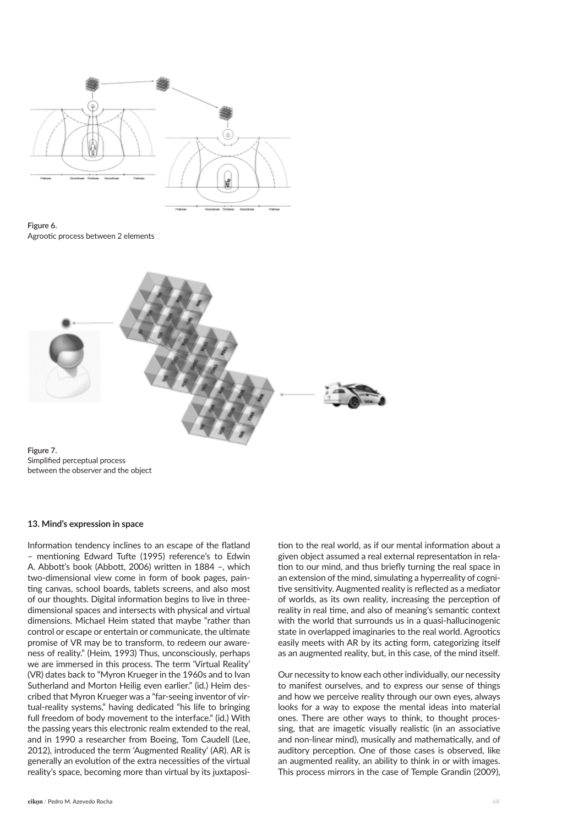

**Figure 6.**  Agrootic process between 2 elements



**Figure 7.**  Simplified perceptual process between the observer and the object

#### **13. Mind's expression in space**

Information tendency inclines to an escape of the flatland – mentioning Edward Tufte (1995) reference's to Edwin A. Abbott's book (Abbott, 2006) written in 1884 –, which two-dimensional view come in form of book pages, painting canvas, school boards, tablets screens, and also most of our thoughts. Digital information begins to live in threedimensional spaces and intersects with physical and virtual dimensions. Michael Heim stated that maybe "rather than control or escape or entertain or communicate, the ultimate promise of VR may be to transform, to redeem our awareness of reality." (Heim, 1993) Thus, unconsciously, perhaps we are immersed in this process. The term 'Virtual Reality' (VR) dates back to "Myron Krueger in the 1960s and to Ivan Sutherland and Morton Heilig even earlier." (id.) Heim described that Myron Krueger was a "far-seeing inventor of virtual-reality systems," having dedicated "his life to bringing full freedom of body movement to the interface." (id.) With the passing years this electronic realm extended to the real, and in 1990 a researcher from Boeing, Tom Caudell (Lee, 2012), introduced the term 'Augmented Reality' (AR). AR is generally an evolution of the extra necessities of the virtual reality's space, becoming more than virtual by its juxtaposition to the real world, as if our mental information about a given object assumed a real external representation in relation to our mind, and thus briefly turning the real space in an extension of the mind, simulating a hyperreality of cognitive sensitivity. Augmented reality is reflected as a mediator of worlds, as its own reality, increasing the perception of reality in real time, and also of meaning's semantic context with the world that surrounds us in a quasi-hallucinogenic state in overlapped imaginaries to the real world. Agrootics easily meets with AR by its acting form, categorizing itself as an augmented reality, but, in this case, of the mind itself.

Our necessity to know each other individually, our necessity to manifest ourselves, and to express our sense of things and how we perceive reality through our own eyes, always looks for a way to expose the mental ideas into material ones. There are other ways to think, to thought processing, that are imagetic visually realistic (in an associative and non-linear mind), musically and mathematically, and of auditory perception. One of those cases is observed, like an augmented reality, an ability to think in or with images. This process mirrors in the case of Temple Grandin (2009),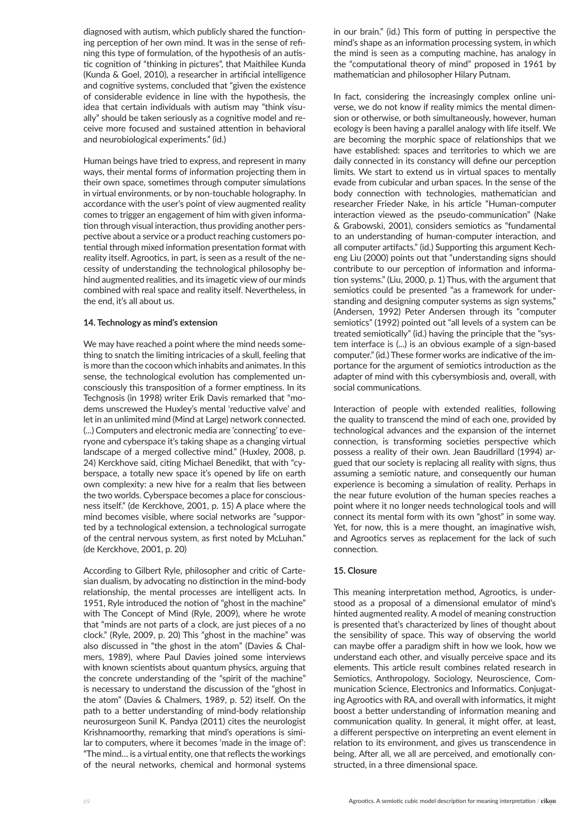diagnosed with autism, which publicly shared the functioning perception of her own mind. It was in the sense of refining this type of formulation, of the hypothesis of an autistic cognition of "thinking in pictures", that Maithilee Kunda (Kunda & Goel, 2010), a researcher in artificial intelligence and cognitive systems, concluded that "given the existence of considerable evidence in line with the hypothesis, the idea that certain individuals with autism may "think visually" should be taken seriously as a cognitive model and receive more focused and sustained attention in behavioral and neurobiological experiments." (id.)

Human beings have tried to express, and represent in many ways, their mental forms of information projecting them in their own space, sometimes through computer simulations in virtual environments, or by non-touchable holography. In accordance with the user's point of view augmented reality comes to trigger an engagement of him with given information through visual interaction, thus providing another perspective about a service or a product reaching customers potential through mixed information presentation format with reality itself. Agrootics, in part, is seen as a result of the necessity of understanding the technological philosophy behind augmented realities, and its imagetic view of our minds combined with real space and reality itself. Nevertheless, in the end, it's all about us.

#### **14. Technology as mind's extension**

We may have reached a point where the mind needs something to snatch the limiting intricacies of a skull, feeling that is more than the cocoon which inhabits and animates. In this sense, the technological evolution has complemented unconsciously this transposition of a former emptiness. In its Techgnosis (in 1998) writer Erik Davis remarked that "modems unscrewed the Huxley's mental 'reductive valve' and let in an unlimited mind (Mind at Large) network connected. (...) Computers and electronic media are 'connecting' to everyone and cyberspace it's taking shape as a changing virtual landscape of a merged collective mind." (Huxley, 2008, p. 24) Kerckhove said, citing Michael Benedikt, that with "cyberspace, a totally new space it's opened by life on earth own complexity: a new hive for a realm that lies between the two worlds. Cyberspace becomes a place for consciousness itself." (de Kerckhove, 2001, p. 15) A place where the mind becomes visible, where social networks are "supported by a technological extension, a technological surrogate of the central nervous system, as first noted by McLuhan." (de Kerckhove, 2001, p. 20)

According to Gilbert Ryle, philosopher and critic of Cartesian dualism, by advocating no distinction in the mind-body relationship, the mental processes are intelligent acts. In 1951, Ryle introduced the notion of "ghost in the machine" with The Concept of Mind (Ryle, 2009), where he wrote that "minds are not parts of a clock, are just pieces of a no clock." (Ryle, 2009, p. 20) This "ghost in the machine" was also discussed in "the ghost in the atom" (Davies & Chalmers, 1989), where Paul Davies joined some interviews with known scientists about quantum physics, arguing that the concrete understanding of the "spirit of the machine" is necessary to understand the discussion of the "ghost in the atom" (Davies & Chalmers, 1989, p. 52) itself. On the path to a better understanding of mind-body relationship neurosurgeon Sunil K. Pandya (2011) cites the neurologist Krishnamoorthy, remarking that mind's operations is similar to computers, where it becomes 'made in the image of': "The mind… is a virtual entity, one that reflects the workings of the neural networks, chemical and hormonal systems

in our brain." (id.) This form of putting in perspective the mind's shape as an information processing system, in which the mind is seen as a computing machine, has analogy in the "computational theory of mind" proposed in 1961 by mathematician and philosopher Hilary Putnam.

In fact, considering the increasingly complex online universe, we do not know if reality mimics the mental dimension or otherwise, or both simultaneously, however, human ecology is been having a parallel analogy with life itself. We are becoming the morphic space of relationships that we have established: spaces and territories to which we are daily connected in its constancy will define our perception limits. We start to extend us in virtual spaces to mentally evade from cubicular and urban spaces. In the sense of the body connection with technologies, mathematician and researcher Frieder Nake, in his article "Human-computer interaction viewed as the pseudo-communication" (Nake & Grabowski, 2001), considers semiotics as "fundamental to an understanding of human-computer interaction, and all computer artifacts." (id.) Supporting this argument Kecheng Liu (2000) points out that "understanding signs should contribute to our perception of information and information systems." (Liu, 2000, p. 1) Thus, with the argument that semiotics could be presented "as a framework for understanding and designing computer systems as sign systems," (Andersen, 1992) Peter Andersen through its "computer semiotics" (1992) pointed out "all levels of a system can be treated semiotically" (id.) having the principle that the "system interface is (...) is an obvious example of a sign-based computer." (id.) These former works are indicative of the importance for the argument of semiotics introduction as the adapter of mind with this cybersymbiosis and, overall, with social communications.

Interaction of people with extended realities, following the quality to transcend the mind of each one, provided by technological advances and the expansion of the internet connection, is transforming societies perspective which possess a reality of their own. Jean Baudrillard (1994) argued that our society is replacing all reality with signs, thus assuming a semiotic nature, and consequently our human experience is becoming a simulation of reality. Perhaps in the near future evolution of the human species reaches a point where it no longer needs technological tools and will connect its mental form with its own "ghost" in some way. Yet, for now, this is a mere thought, an imaginative wish, and Agrootics serves as replacement for the lack of such connection.

#### **15. Closure**

This meaning interpretation method, Agrootics, is understood as a proposal of a dimensional emulator of mind's hinted augmented reality. A model of meaning construction is presented that's characterized by lines of thought about the sensibility of space. This way of observing the world can maybe offer a paradigm shift in how we look, how we understand each other, and visually perceive space and its elements. This article result combines related research in Semiotics, Anthropology, Sociology, Neuroscience, Communication Science, Electronics and Informatics. Conjugating Agrootics with RA, and overall with informatics, it might boost a better understanding of information meaning and communication quality. In general, it might offer, at least, a different perspective on interpreting an event element in relation to its environment, and gives us transcendence in being. After all, we all are perceived, and emotionally constructed, in a three dimensional space.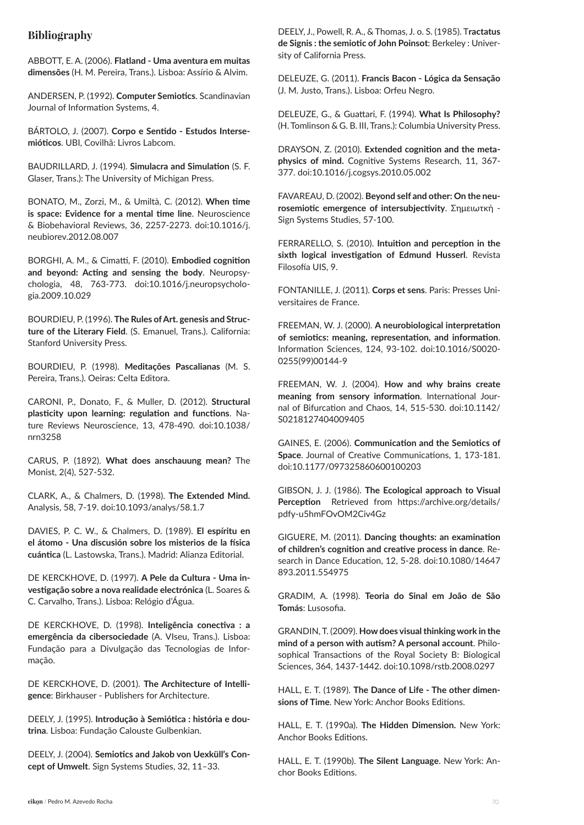## **Bibliography**

ABBOTT, E. A. (2006). **Flatland - Uma aventura em muitas dimensões** (H. M. Pereira, Trans.). Lisboa: Assírio & Alvim.

ANDERSEN, P. (1992). **Computer Semiotics**. Scandinavian Journal of Information Systems, 4.

BÁRTOLO, J. (2007). **Corpo e Sentido - Estudos Intersemióticos**. UBI, Covilhã: Livros Labcom.

BAUDRILLARD, J. (1994). **Simulacra and Simulation** (S. F. Glaser, Trans.): The University of Michigan Press.

BONATO, M., Zorzi, M., & Umiltà, C. (2012). **When time is space: Evidence for a mental time line**. Neuroscience & Biobehavioral Reviews, 36, 2257-2273. doi:10.1016/j. neubiorev.2012.08.007

BORGHI, A. M., & Cimatti, F. (2010). **Embodied cognition and beyond: Acting and sensing the body**. Neuropsychologia, 48, 763-773. doi:10.1016/j.neuropsychologia.2009.10.029

BOURDIEU, P. (1996). **The Rules of Art. genesis and Structure of the Literary Field**. (S. Emanuel, Trans.). California: Stanford University Press.

BOURDIEU, P. (1998). **Meditações Pascalianas** (M. S. Pereira, Trans.). Oeiras: Celta Editora.

CARONI, P., Donato, F., & Muller, D. (2012). **Structural plasticity upon learning: regulation and functions**. Nature Reviews Neuroscience, 13, 478-490. doi:10.1038/ nrn3258

CARUS, P. (1892). **What does anschauung mean?** The Monist, 2(4), 527-532.

CLARK, A., & Chalmers, D. (1998). **The Extended Mind.**  Analysis, 58, 7-19. doi:10.1093/analys/58.1.7

DAVIES, P. C. W., & Chalmers, D. (1989). **El espíritu en el átomo - Una discusión sobre los misterios de la física cuántica** (L. Lastowska, Trans.). Madrid: Alianza Editorial.

DE KERCKHOVE, D. (1997). **A Pele da Cultura - Uma investigação sobre a nova realidade electrónica** (L. Soares & C. Carvalho, Trans.). Lisboa: Relógio d'Água.

DE KERCKHOVE, D. (1998). **Inteligência conectiva : a emergência da cibersociedade** (A. VIseu, Trans.). Lisboa: Fundação para a Divulgação das Tecnologias de Informação.

DE KERCKHOVE, D. (2001). **The Architecture of Intelligence**: Birkhauser - Publishers for Architecture.

DEELY, J. (1995). **Introdução à Semiótica : história e doutrina**. Lisboa: Fundação Calouste Gulbenkian.

DEELY, J. (2004). **Semiotics and Jakob von Uexküll's Concept of Umwelt**. Sign Systems Studies, 32, 11–33.

DEELY, J., Powell, R. A., & Thomas, J. o. S. (1985). T**ractatus de Signis : the semiotic of John Poinsot**: Berkeley : University of California Press.

DELEUZE, G. (2011). **Francis Bacon - Lógica da Sensação**  (J. M. Justo, Trans.). Lisboa: Orfeu Negro.

DELEUZE, G., & Guattari, F. (1994). **What Is Philosophy?**  (H. Tomlinson & G. B. III, Trans.): Columbia University Press.

DRAYSON, Z. (2010). **Extended cognition and the metaphysics of mind.** Cognitive Systems Research, 11, 367- 377. doi:10.1016/j.cogsys.2010.05.002

FAVAREAU, D. (2002). **Beyond self and other: On the neurosemiotic emergence of intersubjectivity**. Σημειωτκή - Sign Systems Studies, 57-100.

FERRARELLO, S. (2010). **Intuition and perception in the sixth logical investigation of Edmund Husserl**. Revista Filosofía UIS, 9.

FONTANILLE, J. (2011). **Corps et sens**. Paris: Presses Universitaires de France.

FREEMAN, W. J. (2000). **A neurobiological interpretation of semiotics: meaning, representation, and information**. Information Sciences, 124, 93-102. doi:10.1016/S0020- 0255(99)00144-9

FREEMAN, W. J. (2004). **How and why brains create meaning from sensory information**. International Journal of Bifurcation and Chaos, 14, 515-530. doi:10.1142/ S0218127404009405

GAINES, E. (2006). **Communication and the Semiotics of Space**. Journal of Creative Communications, 1, 173-181. doi:10.1177/097325860600100203

GIBSON, J. J. (1986). **The Ecological approach to Visual Perception** Retrieved from https://archive.org/details/ pdfy-u5hmFOvOM2Civ4Gz

GIGUERE, M. (2011). **Dancing thoughts: an examination of children's cognition and creative process in dance**. Research in Dance Education, 12, 5-28. doi:10.1080/14647 893.2011.554975

GRADIM, A. (1998). **Teoria do Sinal em João de São Tomás**: Lusosofia.

GRANDIN, T. (2009). **How does visual thinking work in the mind of a person with autism? A personal account**. Philosophical Transactions of the Royal Society B: Biological Sciences, 364, 1437-1442. doi:10.1098/rstb.2008.0297

HALL, E. T. (1989). **The Dance of Life - The other dimensions of Time**. New York: Anchor Books Editions.

HALL, E. T. (1990a). **The Hidden Dimension.** New York: Anchor Books Editions.

HALL, E. T. (1990b). **The Silent Language**. New York: Anchor Books Editions.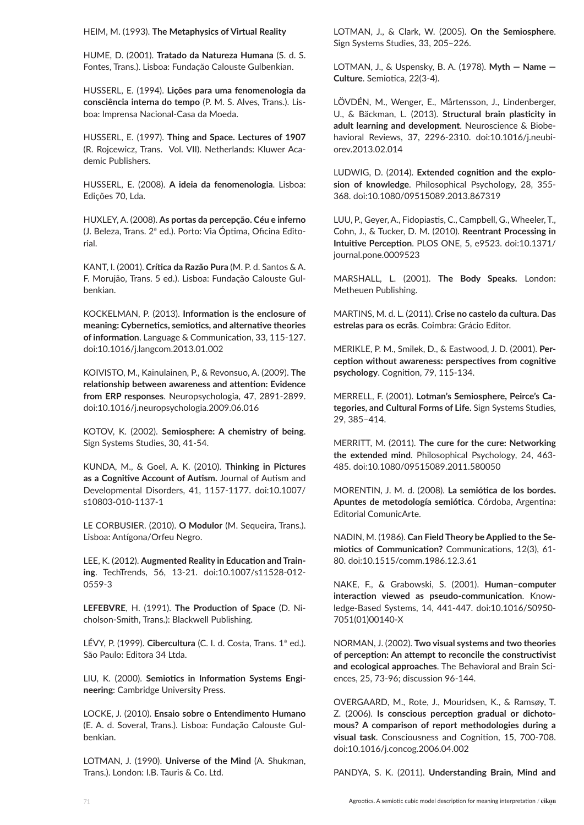HEIM, M. (1993). **The Metaphysics of Virtual Reality**

HUME, D. (2001). **Tratado da Natureza Humana** (S. d. S. Fontes, Trans.). Lisboa: Fundação Calouste Gulbenkian.

HUSSERL, E. (1994). **Lições para uma fenomenologia da consciência interna do tempo** (P. M. S. Alves, Trans.). Lisboa: Imprensa Nacional-Casa da Moeda.

HUSSERL, E. (1997). **Thing and Space. Lectures of 1907** (R. Rojcewicz, Trans. Vol. VII). Netherlands: Kluwer Academic Publishers.

HUSSERL, E. (2008). **A ideia da fenomenologia**. Lisboa: Edições 70, Lda.

HUXLEY, A. (2008). **As portas da percepção. Céu e inferno**  (J. Beleza, Trans. 2ª ed.). Porto: Via Óptima, Oficina Editorial.

KANT, I. (2001). **Crítica da Razão Pura** (M. P. d. Santos & A. F. Morujão, Trans. 5 ed.). Lisboa: Fundação Calouste Gulbenkian.

KOCKELMAN, P. (2013). **Information is the enclosure of meaning: Cybernetics, semiotics, and alternative theories of information**. Language & Communication, 33, 115-127. doi:10.1016/j.langcom.2013.01.002

KOIVISTO, M., Kainulainen, P., & Revonsuo, A. (2009). **The relationship between awareness and attention: Evidence from ERP responses**. Neuropsychologia, 47, 2891-2899. doi:10.1016/j.neuropsychologia.2009.06.016

KOTOV, K. (2002). **Semiosphere: A chemistry of being**. Sign Systems Studies, 30, 41-54.

KUNDA, M., & Goel, A. K. (2010). **Thinking in Pictures as a Cognitive Account of Autism.** Journal of Autism and Developmental Disorders, 41, 1157-1177. doi:10.1007/ s10803-010-1137-1

LE CORBUSIER. (2010). **O Modulor** (M. Sequeira, Trans.). Lisboa: Antígona/Orfeu Negro.

LEE, K. (2012). **Augmented Reality in Education and Training**. TechTrends, 56, 13-21. doi:10.1007/s11528-012- 0559-3

**LEFEBVRE**, H. (1991). **The Production of Space** (D. Nicholson-Smith, Trans.): Blackwell Publishing.

LÉVY, P. (1999). **Cibercultura** (C. I. d. Costa, Trans. 1ª ed.). São Paulo: Editora 34 Ltda.

LIU, K. (2000). **Semiotics in Information Systems Engineering**: Cambridge University Press.

LOCKE, J. (2010). **Ensaio sobre o Entendimento Humano**  (E. A. d. Soveral, Trans.). Lisboa: Fundação Calouste Gulbenkian.

LOTMAN, J. (1990). **Universe of the Mind** (A. Shukman, Trans.). London: I.B. Tauris & Co. Ltd.

LOTMAN, J., & Clark, W. (2005). **On the Semiosphere**. Sign Systems Studies, 33, 205–226.

LOTMAN, J., & Uspensky, B. A. (1978). **Myth — Name — Culture**. Semiotica, 22(3-4).

LÖVDÉN, M., Wenger, E., Mårtensson, J., Lindenberger, U., & Bäckman, L. (2013). **Structural brain plasticity in adult learning and development**. Neuroscience & Biobehavioral Reviews, 37, 2296-2310. doi:10.1016/j.neubiorev.2013.02.014

LUDWIG, D. (2014). **Extended cognition and the explosion of knowledge**. Philosophical Psychology, 28, 355- 368. doi:10.1080/09515089.2013.867319

LUU, P., Geyer, A., Fidopiastis, C., Campbell, G., Wheeler, T., Cohn, J., & Tucker, D. M. (2010). **Reentrant Processing in Intuitive Perception**. PLOS ONE, 5, e9523. doi:10.1371/ journal.pone.0009523

MARSHALL, L. (2001). **The Body Speaks.** London: Metheuen Publishing.

MARTINS, M. d. L. (2011). **Crise no castelo da cultura. Das estrelas para os ecrãs**. Coimbra: Grácio Editor.

MERIKLE, P. M., Smilek, D., & Eastwood, J. D. (2001). **Perception without awareness: perspectives from cognitive psychology**. Cognition, 79, 115-134.

MERRELL, F. (2001). **Lotman's Semiosphere, Peirce's Categories, and Cultural Forms of Life.** Sign Systems Studies, 29, 385–414.

MERRITT, M. (2011). **The cure for the cure: Networking the extended mind**. Philosophical Psychology, 24, 463- 485. doi:10.1080/09515089.2011.580050

MORENTIN, J. M. d. (2008). **La semiótica de los bordes. Apuntes de metodología semiótica**. Córdoba, Argentina: Editorial ComunicArte.

NADIN, M. (1986). **Can Field Theory be Applied to the Semiotics of Communication?** Communications, 12(3), 61- 80. doi:10.1515/comm.1986.12.3.61

NAKE, F., & Grabowski, S. (2001). **Human–computer interaction viewed as pseudo-communication**. Knowledge-Based Systems, 14, 441-447. doi:10.1016/S0950- 7051(01)00140-X

NORMAN, J. (2002). **Two visual systems and two theories of perception: An attempt to reconcile the constructivist and ecological approaches**. The Behavioral and Brain Sciences, 25, 73-96; discussion 96-144.

OVERGAARD, M., Rote, J., Mouridsen, K., & Ramsøy, T. Z. (2006). **Is conscious perception gradual or dichotomous? A comparison of report methodologies during a visual task**. Consciousness and Cognition, 15, 700-708. doi:10.1016/j.concog.2006.04.002

PANDYA, S. K. (2011). **Understanding Brain, Mind and**